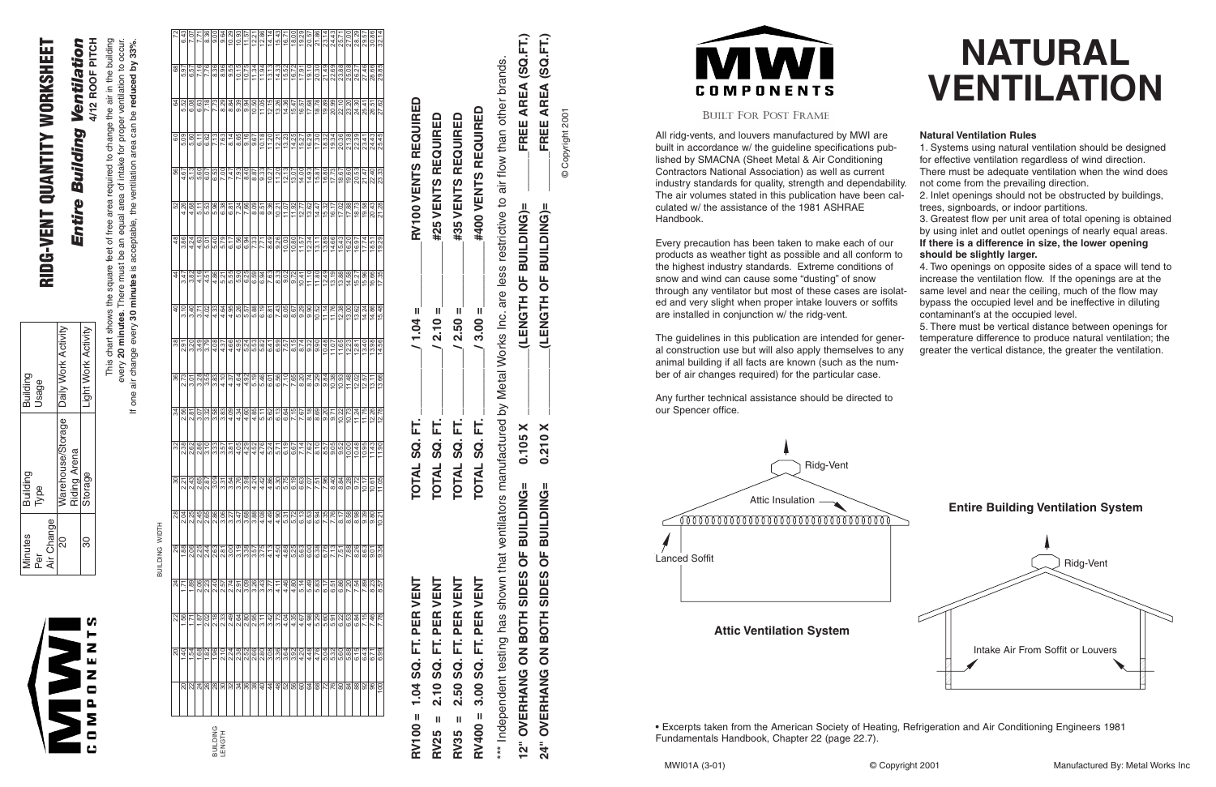## **NATURAL VENTILATION**

All ridg-vents, and louvers manufactured by MWI are built in accordance w/ the guideline specifications published by SMACNA (Sheet Metal & Air Conditioning Contractors National Association) as well as current industry standards for quality, strength and dependabili The air volumes stated in this publication have been calculated w/ the assistance of the 1981 ASHRAE Handbook.

The guidelines in this publication are intended for gene al construction use but will also apply themselves to an animal building if all facts are known (such as the number of air changes required) for the particular case.

Every precaution has been taken to make each of our products as weather tight as possible and all conform the highest industry standards. Extreme conditions of snow and wind can cause some "dusting" of snow through any ventilator but most of these cases are isolation ed and very slight when proper intake louvers or soffits are installed in conjunction w/ the ridg-vent.

Any further technical assistance should be directed to our Spencer office.

|       | <b>Natural Ventilation Rules</b>                            |
|-------|-------------------------------------------------------------|
|       | 1. Systems using natural ventilation should be designed     |
|       | for effective ventilation regardless of wind direction.     |
|       | There must be adequate ventilation when the wind does       |
| lity. | not come from the prevailing direction.                     |
| al-   | 2. Inlet openings should not be obstructed by buildings,    |
|       | trees, signboards, or indoor partitions.                    |
|       | 3. Greatest flow per unit area of total opening is obtained |
|       | by using inlet and outlet openings of nearly equal areas.   |
|       | If there is a difference in size, the lower opening         |
| to    | should be slightly larger.                                  |
|       | 4. Two openings on opposite sides of a space will tend to   |
|       | increase the ventilation flow. If the openings are at the   |
| lat-  | same level and near the ceiling, much of the flow may       |
| S     | bypass the occupied level and be ineffective in diluting    |
|       | contaminant's at the occupied level.                        |
|       | 5. There must be vertical distance between openings for     |
| ər-   | temperature difference to produce natural ventilation; the  |
| ny    | greater the vertical distance, the greater the ventilation. |
| i-    |                                                             |
|       |                                                             |

**Attic Ventilation System**





• Excerpts taken from the American Society of Heating, Refrigeration and Air Conditioning Engineers 1981 Fundamentals Handbook, Chapter 22 (page 22.7).

# RIDG-VENT QUANTITY WORKSHEET RIDG-VENT QUANTITY WORKSHEET

## Ventilation *Entire Building Ventilation* **Building** Entire

4/12 ROOF PITCH **4/12 ROOF PITCH** This chart shows the square feet of free area required to change the air in the building සු free  $\overline{\sigma}$ leet square ·

every **20 minutes**. There must be an equal area of intake for proper ventilation to occur. ea ಹ ಹ <u>be</u> the minutes. This chart show<br>wery 20 minute

one

|                          |                  |                      |      |                            |                  |                |                  |               |       | 위의님쒾임화없임법의정보하는 이상법법<br>하나나이아이터리지이어지는 이상법법이 생각 |                |                       |                     |       |                       |                     |       |                       |                           |                         |                       |             |                    | <u>자동영업 중</u><br>참정 정치<br>참정 정치 |                        |
|--------------------------|------------------|----------------------|------|----------------------------|------------------|----------------|------------------|---------------|-------|-----------------------------------------------|----------------|-----------------------|---------------------|-------|-----------------------|---------------------|-------|-----------------------|---------------------------|-------------------------|-----------------------|-------------|--------------------|---------------------------------|------------------------|
| 5.97                     | 57<br>ؘڡ         | 7.16                 | 7.76 | 8.36                       | 96<br>∞          | 9.55           | 10.15            | 10.75         | 11.34 | 11.94                                         | 13.13          | 14.33                 | 15.52               |       | $\frac{16.72}{17.91}$ |                     | 20.30 | 21.49                 |                           | 22.69<br>23.88<br>25.08 |                       |             | 26.27<br>27.46     | 28.66                           | 85<br>29.              |
| 5.52                     | $8^{\circ}$<br>ق | 6.63                 | 7.18 | 7.73                       | 8.29             | 8.84           | 9.39             | 9.94          | 10.50 | $\frac{11.05}{12.15}$                         |                | 13.26                 | 14.36               | 15.47 | 16.57<br>17.68        |                     | 18.78 | 19.89                 | 20.99                     | 22.10                   | 23.20                 | 24.30       | 25.4'              | 26.51                           | 27.62                  |
| 5.09                     | 60<br>ပေ         | 6.11                 | 6.62 | 7.13                       | 7.63             | 8.14           | 65<br>ထ          | 9.16          | 9.67  | 10.18                                         | 11.20          | $\frac{12.21}{13.23}$ |                     | 14.25 | 15.27                 | 16.29               | 17.30 | 18.32                 | 19.34                     | 20.36                   | 21.38                 | 22.39       | 23.41              | 24.43                           | 25.45                  |
| 4.67                     | 13<br>ယ          | 8<br>ທ່              | 6.07 | 6.53                       | 7.00             | $\overline{4}$ | $\overline{.93}$ | 8.40          | 8.87  | 9.33                                          | 10.27          | 11.20                 | 12.13               | 13.07 | 14.00                 | 14.93               | 15.87 | 16.80                 | 17.73                     | 18.67                   | 19.60                 | 20.53       | 21.47              | 22.40                           | 23.33                  |
| 4.26                     | 68               | 5.11                 | 53   | 96                         | 6.38             |                | $rac{61}{7.86}$  |               | 8.09  | 8.51                                          | 9.36           | 10.21                 | 11.07               | 11.92 | 12.77                 | 13.62               |       | $\frac{14.47}{15.32}$ | 16.17                     |                         | $\frac{17.02}{17.88}$ | 18.73       | 58<br><u>(a</u>    | 20.43                           | 21.28                  |
| 3.86                     | 4.24             | 4.63                 | 5.01 | $\overline{40}$<br>.<br>ما | 5.79             |                | $6.17$<br>$6.56$ | 6.94          | 7.33  | 7.71                                          | 8.49           | 9.26                  | 10.03               | 10.80 | $\frac{11.57}{12.34}$ |                     | 13.11 | 13.89                 | 14.66                     | 15.43                   | 16.20                 | 16.97       | 17.74              | 18.51                           | 19.29                  |
| 3.47                     | 82<br>က်         | 4.16                 | 4.51 | 86                         | 5.21             | 55<br>ξ.       | 8<br>ξ.          | 6.25          | 6.59  | $\mathfrak{B}$<br>6.                          |                | $\frac{7.63}{8.33}$   | 9.02                | 9.72  | 10.41                 | 11.10               | 11.80 | 12.49                 | $\frac{6}{1}$<br><u>უ</u> | 13.88                   | 14.58                 | 27<br>نة.   | $\frac{8}{2}$<br>5 | 66<br>ق                         | $\overline{35}$<br>17. |
| 3.10                     |                  | $\frac{3.40}{3.71}$  | 4.02 | 4.33                       | 4.64             |                | 4.95             | 5.57          | 5.88  | 6.19                                          |                | $\frac{6.81}{7.43}$   | 8.05                | 8.67  |                       | $\frac{9.29}{9.90}$ | 10.52 | 11.14                 | 11.76                     | 12.38                   | 13.00                 | 13.62       | 14.24              | 14.86                           | 15.48                  |
| $\frac{51}{2}$           | 20<br>က်         | $\frac{3.49}{3.79}$  |      | 4.08                       | 4.37             | 4.66           | 4.95             | 5.24          | 5.53  | 5.82                                          | 6.41           |                       | $\frac{6.99}{7.57}$ | 8.15  |                       | 8.74<br>9.32        | 9.90  | 10.48                 | 11.07                     |                         | 11.65<br>12.23        | 12.81       | 13.40              | 13.98                           | 14.56                  |
| 2.73                     | 3.0 <sup>2</sup> | 3.28                 | 3.55 | 3.83                       | 4.10             | 4.37           | 4.64             | 4.92          | 5.19  | 5.46                                          | 6.01           | 6.56                  | 7.10                | 7.65  | 8.20                  | 8.74                | 9.29  | 9.84                  | 10.38                     | 10.93                   | 11.48                 | 12.02       | 12.57              | $\frac{13.1}{ }$                | 13.66                  |
| 2.56                     | $\infty$<br>Μ    | 3.07                 | 3.32 | 3.58                       | 3.83             | 4.09           | 4.34             | 4.60          | 4.85  | 5.11                                          | 5.62           | 6.13                  | 6.64                | 7.15  | $\frac{7.67}{8.18}$   |                     | 8.69  | 9.20                  | 9.71                      | 10.22                   | 10.73                 | 11.24       | 11.75              | 12.26                           | 12.78                  |
|                          | $\frac{38}{25}$  |                      | 3.10 | 3.33                       | 3.57             | 3.81           | 4.05             | 4.29          | 4.52  | 4.76                                          | 5.24           | 5.71                  | 6.19                | 6.67  |                       | $\frac{7.14}{7.62}$ |       | 8.57                  | -05<br>တ                  |                         | $\frac{9.52}{10.00}$  | 10.48       | 10.95              | $\ddot{4}$<br>Ξ                 | 11.90                  |
| 2.21                     |                  | 2.43<br>2.65<br>2.87 |      | 3.09                       | $\frac{3.31}{2}$ | 3.54           | 3.76             | 3.98          | 4.20  | 4.42                                          | 4.86           | $\frac{5.30}{5.75}$   |                     | 6.19  | 6.63                  |                     | 7.51  | 7.96                  | $rac{40}{1}$              | 8.84                    | 9.28                  | 9.72        | 10.17              | 10.61                           | 11.05                  |
| 2.04                     | 2.25             | 2.45                 | 2.65 | 2.86                       | 3.06             | 3.27           | 3.47             | 3.68          | 3.88  | 4.08                                          | 4.49           | 4.90                  | 5.31                | 5.72  | 6.13                  | 6.53                | 6.94  | 7.35                  | 7.76                      | $\frac{8.17}{8}$        | 8.58                  | 8.98        | 9.39               | 0.80                            | 10.21                  |
| 1.88                     | 2.06             | 2.25                 | 2.44 | 2.63                       | 2.81             | 3.00           | 3.19             | 3.38          | 3.57  | 3.75                                          | 4.13           | 4.50                  | 4.88                | 5.25  | 5.63                  | 6.00                | 6.38  | 6.76                  | 7.13                      | 7.51                    | 7.88                  | 8.26        | 8.63               | 9.01                            | 9.38                   |
| 1.71                     | 1.89             | 2.06                 | 2.23 | 2.40                       | 2.57             | 2.74           | 2.91             | 3.09          | 3.26  | 3.43                                          | 3.77           | 4.11                  | 4.46                | 4.80  | 5.14                  | 5.49                | 5.83  | 6.17                  | 6.51                      | 6.86                    | 7.20                  | <b>7.54</b> | 7.89               | 8.23                            | 8.57                   |
| 1.56                     |                  | 187                  | 2.02 | 2.18                       | 2.33             | 2.49           | 2.64             | 2.80          | 2.95  | 3.11                                          | 3.42           | 3.73                  | 4.04                | 4.35  | 4.67                  | 4.98                | 5.29  | 5.60                  | 5.91                      | 6.22                    | 6.53                  | 6.84        | 7.15               | 46                              | 7.78                   |
| 1.40                     | 1.54             | 1.68                 | 1.82 | 1.96                       | 2.10             | 2.24           | 2.38             | 2.52          | 2.66  | $\frac{2.80}{2}$                              | 3.08           | 3.36                  | 3.64                | 3.92  | 4.20                  | 4.48                | 4.76  | 5.04                  | 5.32                      | 5.60                    | 5.88                  | 6.15        | 6.43               | 6.71                            | 6.99                   |
| $\overline{\mathsf{20}}$ | $\frac{22}{4}$   |                      | 26   | 28                         | $\overline{30}$  | 32             | æ                | $\frac{8}{3}$ | 38    | $40 \overline{}$                              | $\overline{4}$ | $\frac{48}{5}$        | 52                  | 56    | 80                    | S,                  | 68    | 72                    | 76                        | 80                      | $\mathfrak{A}$        | 88          | 92                 | 96                              | $\frac{8}{100}$        |
|                          |                  |                      |      | <b>SUILDING</b><br>LENGTH  |                  |                |                  |               |       |                                               |                |                       |                     |       |                       |                     |       |                       |                           |                         |                       |             |                    |                                 |                        |

If one air change every **30 minutes** is acceptable, the ventilation area can be **reduced by 33%**.

a required to change the air in the building<br>ea of intake for proper ventilation to occur.<br>ventilation area can be **reduced by 33%**. the acceptable, There must<br>minutes is a every 30 every 20 r<br>air change

 $\equiv$ 

δÇ

|  | n      |
|--|--------|
|  | H<br>۰ |
|  | Ζ      |
|  | ш      |
|  | Z      |
|  | ۸      |
|  |        |
|  | Σ      |
|  | о      |
|  | ט      |

| <b>Minutes</b> | Building                                | Building            |
|----------------|-----------------------------------------|---------------------|
| Per            | lype                                    | Jsage               |
| Air Change     |                                         |                     |
| 20             | Warehouse/Storage   Daily Work Activity |                     |
|                | <b>Riding Arena</b>                     |                     |
| 80             | Storage                                 | Light Work Activity |

| RV100 = 1.04 SQ. FT. PER VENT                                                                                                           | TOTAL SQ. FT. | $1.04 =$              | RV100 VENTS REQUIRED |
|-----------------------------------------------------------------------------------------------------------------------------------------|---------------|-----------------------|----------------------|
| RV25 = 2.10 SQ. FT. PER VENT                                                                                                            | TOTAL SQ. FT. | $/2.10 =$             | #25 VENTS REQUIRED   |
| RV35 = 2.50 SQ. FT. PER VENT                                                                                                            | TOTAL SQ. FT. | $/2.50 =$             | #35 VENTS REQUIRED   |
| RV400 = 3.00 SQ. FT. PER VENT                                                                                                           | TOTAL SQ. FT. | $/3.00 =$             | #400 VENTS REQUIRED  |
| *** Independent testing has shown that ventilators manufactured by Metal Works Inc. are less restrictive to air flow than other brands. |               |                       |                      |
| 12" OVERHANG ON BOTH SIDES OF BUILDING=                                                                                                 | 0.105 X       | (LENGTH OF BUILDING)= | FREE AREA (SQ.FT.)   |



 $\overline{A}$ 



#### **BUILT FOR POST FRAME**